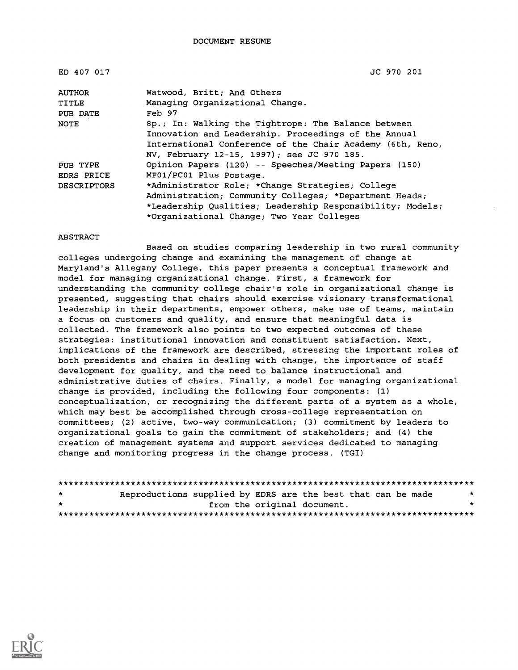| ED 407 017         | JC 970 201                                                |
|--------------------|-----------------------------------------------------------|
| <b>AUTHOR</b>      | Watwood, Britt; And Others                                |
| TITLE              | Managing Organizational Change.                           |
| PUB DATE           | Feb 97                                                    |
| NOTE               | 8p.; In: Walking the Tightrope: The Balance between       |
|                    | Innovation and Leadership. Proceedings of the Annual      |
|                    | International Conference of the Chair Academy (6th, Reno, |
|                    | NV, February 12-15, 1997); see JC 970 185.                |
| PUB TYPE           | Opinion Papers (120) -- Speeches/Meeting Papers (150)     |
| <b>EDRS PRICE</b>  | MF01/PC01 Plus Postage.                                   |
| <b>DESCRIPTORS</b> | *Administrator Role; *Change Strategies; College          |
|                    | Administration; Community Colleges; *Department Heads;    |
|                    | *Leadership Qualities; Leadership Responsibility; Models; |
|                    | *Organizational Change; Two Year Colleges                 |

#### ABSTRACT

Based on studies comparing leadership in two rural community colleges undergoing change and examining the management of change at Maryland's Allegany College, this paper presents a conceptual framework and model for managing organizational change. First, a framework for understanding the community college chair's role in organizational change is presented, suggesting that chairs should exercise visionary transformational leadership in their departments, empower others, make use of teams, maintain a focus on customers and quality, and ensure that meaningful data is collected. The framework also points to two expected outcomes of these strategies: institutional innovation and constituent satisfaction. Next, implications of the framework are described, stressing the important roles of both presidents and chairs in dealing with change, the importance of staff development for quality, and the need to balance instructional and administrative duties of chairs. Finally, a model for managing organizational change is provided, including the following four components: (1) conceptualization, or recognizing the different parts of a system as a whole, which may best be accomplished through cross-college representation on committees; (2) active, two-way communication; (3) commitment by leaders to organizational goals to gain the commitment of stakeholders; and (4) the creation of management systems and support services dedicated to managing change and monitoring progress in the change process. (TGI)

| $\star$ | Reproductions supplied by EDRS are the best that can be made |                             |  |  |  |  |  |  |
|---------|--------------------------------------------------------------|-----------------------------|--|--|--|--|--|--|
| $\star$ |                                                              | from the original document. |  |  |  |  |  |  |
|         |                                                              |                             |  |  |  |  |  |  |

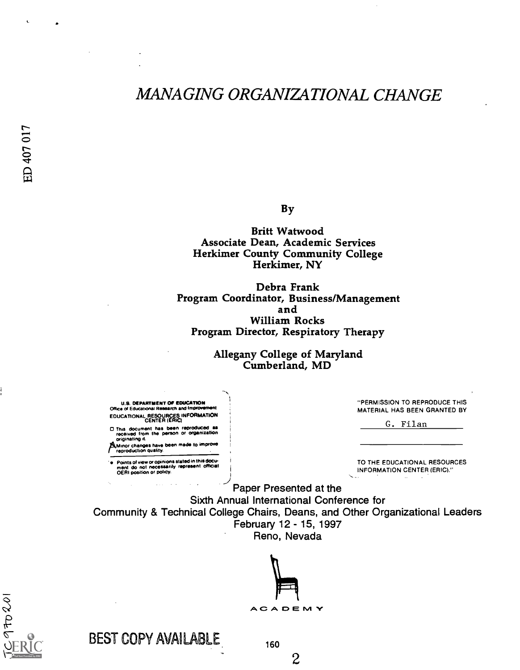# MANAGING ORGANIZATIONAL CHANGE

By

Britt Watwood Associate Dean, Academic Services Herkimer County Community College Herkimer, NY

Debra Frank Program Coordinator, Business/Management and William Rocks Program Director, Respiratory Therapy

> Allegany College of Maryland Cumberland, MD

U.S. DEPARTMENT OP EDUCATION Office of Educational Research and Improv EDUCATIONAL RESOURCES INFORMATION CENTER (ERIC)

D This document has been reproduced as<br>received from the person or organization<br>originating it.

/514Minor changes have been made to improve reproduction quality. Points of view or opinions stated in this docw ment do not necessarily represent official 0E141 position or policy. "PERMISSION TO REPRODUCE THIS MATERIAL HAS BEEN GRANTED BY

G. Filan

TO THE EDUCATIONAL RESOURCES INFORMATION CENTER (ERIC)."

Paper Presented at the Sixth Annual International Conference for Community & Technical College Chairs, Deans, and Other Organizational Leaders February 12 - 15, 1997 Reno, Nevada





BEST COPY AVAILABLE

160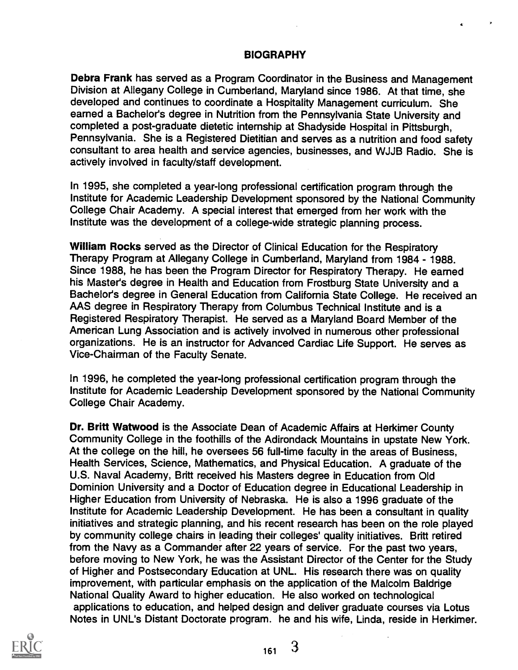#### BIOGRAPHY

Debra Frank has served as a Program Coordinator in the Business and Management Division at Allegany College in Cumberland, Maryland since 1986. At that time, she developed and continues to coordinate a Hospitality Management curriculum. She earned a Bachelor's degree in Nutrition from the Pennsylvania State University and completed a post-graduate dietetic internship at Shadyside Hospital in Pittsburgh, Pennsylvania. She is a Registered Dietitian and serves as a nutrition and food safety consultant to area health and service agencies, businesses, and WJJB Radio. She is actively involved in faculty/staff development.

In 1995, she completed a year-long professional certification program through the Institute for Academic Leadership Development sponsored by the National Community College Chair Academy. A special interest that emerged from her work with the Institute was the development of a college-wide strategic planning process.

William Rocks served as the Director of Clinical Education for the Respiratory Therapy Program at Allegany College in Cumberland, Maryland from 1984 - 1988. Since 1988, he has been the Program Director for Respiratory Therapy. He earned his Master's degree in Health and Education from Frostburg State University and a Bachelor's degree in General Education from California State College. He received an AAS degree in Respiratory Therapy from Columbus Technical Institute and is a Registered Respiratory Therapist. He served as a Maryland Board Member of the American Lung Association and is actively involved in numerous other professional organizations. He is an instructor for Advanced Cardiac Life Support. He serves as Vice-Chairman of the Faculty Senate.

In 1996, he completed the year-long professional certification program through the Institute for Academic Leadership Development sponsored by the National Community College Chair Academy.

Dr. Britt Watwood is the Associate Dean of Academic Affairs at Herkimer County Community College in the foothills of the Adirondack Mountains in upstate New York. At the college on the hill, he oversees 56 full-time faculty in the areas of Business, Health Services, Science, Mathematics, and Physical Education. A graduate of the U.S. Naval Academy, Britt received his Masters degree in Education from Old Dominion University and a Doctor of Education degree in Educational Leadership in Higher Education from University of Nebraska. He is also a 1996 graduate of the Institute for Academic Leadership Development. He has been a consultant in quality initiatives and strategic planning, and his recent research has been on the role played by community college chairs in leading their colleges' quality initiatives. Britt retired from the Navy as a Commander after 22 years of service. For the past two years, before moving to New York, he was the Assistant Director of the Center for the Study of Higher and Postsecondary Education at UNL. His research there was on quality improvement, with particular emphasis on the application of the Malcolm Baldrige National Quality Award to higher education. He also worked on technological applications to education, and helped design and deliver graduate courses via Lotus Notes in UNL's Distant Doctorate program. he and his wife, Linda, reside in Herkimer.



<sup>161</sup> 3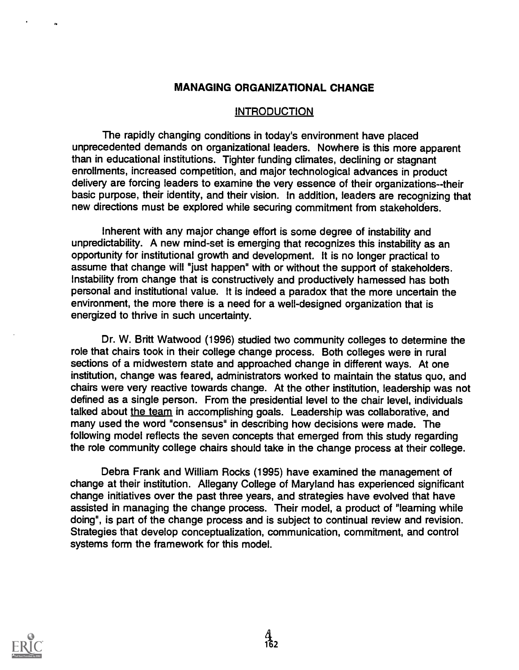### MANAGING ORGANIZATIONAL CHANGE

#### INTRODUCTION

The rapidly changing conditions in today's environment have placed unprecedented demands on organizational leaders. Nowhere is this more apparent than in educational institutions. Tighter funding climates, declining or stagnant enrollments, increased competition, and major technological advances in product delivery are forcing leaders to examine the very essence of their organizations--their basic purpose, their identity, and their vision. In addition, leaders are recognizing that new directions must be explored while securing commitment from stakeholders.

Inherent with any major change effort is some degree of instability and unpredictability. A new mind-set is emerging that recognizes this instability as an opportunity for institutional growth and development. It is no longer practical to assume that change will "just happen" with or without the support of stakeholders. Instability from change that is constructively and productively harnessed has both personal and institutional value. It is indeed a paradox that the more uncertain the environment, the more there is a need for a well-designed organization that is energized to thrive in such uncertainty.

Dr. W. Britt Watwood (1996) studied two community colleges to determine the role that chairs took in their college change process. Both colleges were in rural sections of a midwestem state and approached change in different ways. At one institution, change was feared, administrators worked to maintain the status quo, and chairs were very reactive towards change. At the other institution, leadership was not defined as a single person. From the presidential level to the chair level, individuals talked about the team in accomplishing goals. Leadership was collaborative, and many used the word "consensus" in describing how decisions were made. The following model reflects the seven concepts that emerged from this study regarding the role community college chairs should take in the change process at their college.

Debra Frank and William Rocks (1995) have examined the management of change at their institution. Allegany College of Maryland has experienced significant change initiatives over the past three years, and strategies have evolved that have assisted in managing the change process. Their model, a product of "learning while doing", is part of the change process and is subject to continual review and revision. Strategies that develop conceptualization, communication, commitment, and control systems form the framework for this model.

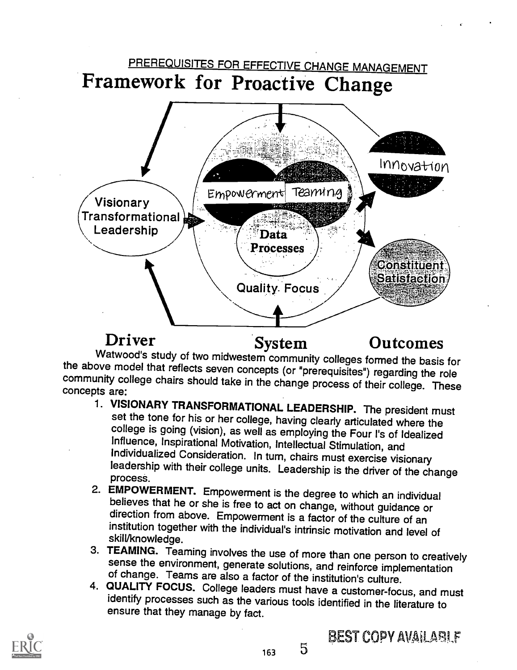

Driver System Outcomes<br>Watwood's study of two midwestem community colleges formed the basis for **Driver** System Outcomes<br>Watwood's study of two midwestern community colleges formed the basis for<br>the above model that reflects seven concepts (or "prerequisites") regarding the role<br>community college chairs should take i

- set the tone for his or her college, having clearly articulated where the college is going (vision), as well as employing the Four I's of Idealized Influence, Inspirational Motivation, Intellectual Stimulation, and Individ Individualized Consideration. In their college units. Leadership is the driver of the change process.<br>2. EMPOWERMENT. Empowerment is the degree to which an individual
- believes that he or she is free to act on change, without guidance or<br>direction from above. Empowerment is a factor of the culture of an<br>institution together with the individual's intrinsic motivation and level of<br>skill/kn
- 
- sense the environment, generate solutions, and reinforce implementation<br>of change. Teams are also a factor of the institution's culture.<br>4. QUALITY FOCUS. College leaders must have a customer-focus, and must<br>identify proce



 $163 \t 5$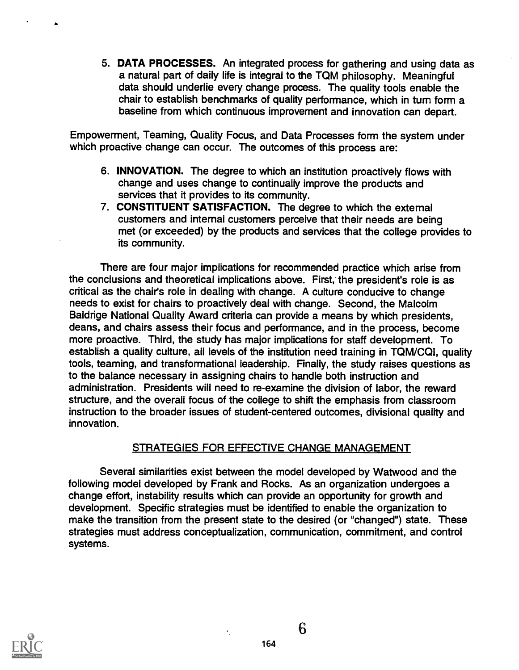5. DATA PROCESSES. An integrated process for gathering and using data as a natural part of daily life is integral to the TQM philosophy. Meaningful data should underlie every change process. The quality tools enable the chair to establish benchmarks of quality performance, which in turn form a baseline from which continuous improvement and innovation can depart.

Empowerment, Teaming, Quality Focus, and Data Processes form the system under which proactive change can occur. The outcomes of this process are:

- 6. INNOVATION. The degree to which an institution proactively flows with change and uses change to continually improve the products and services that it provides to its community.
- 7. CONSTITUENT SATISFACTION. The degree to which the external customers and internal customers perceive that their needs are being met (or exceeded) by the products and services that the college provides to its community.

There are four major implications for recommended practice which arise from the conclusions and theoretical implications above. First, the president's role is as critical as the chair's role in dealing with change. A culture conducive to change needs to exist for chairs to proactively deal with change. Second, the Malcolm Baldrige National Quality Award criteria can provide a means by which presidents, deans, and chairs assess their focus and performance, and in the process, become more proactive. Third, the study has major implications for staff development. To establish a quality culture, all levels of the institution need training in TQM/CQI, quality tools, teaming, and transformational leadership. Finally, the study raises questions as to the balance necessary in assigning chairs to handle both instruction and administration. Presidents will need to re-examine the division of labor, the reward structure, and the overall focus of the college to shift the emphasis from classroom instruction to the broader issues of student-centered outcomes, divisional quality and innovation.

### STRATEGIES FOR EFFECTIVE CHANGE MANAGEMENT

Several similarities exist between the model developed by Watwood and the following model developed by Frank and Rocks. As an organization undergoes a change effort, instability results which can provide an opportunity for growth and development. Specific strategies must be identified to enable the organization to make the transition from the present state to the desired (or "changed") state. These strategies must address conceptualization, communication, commitment, and control systems.



6

 $\bar{\mathbf{v}}$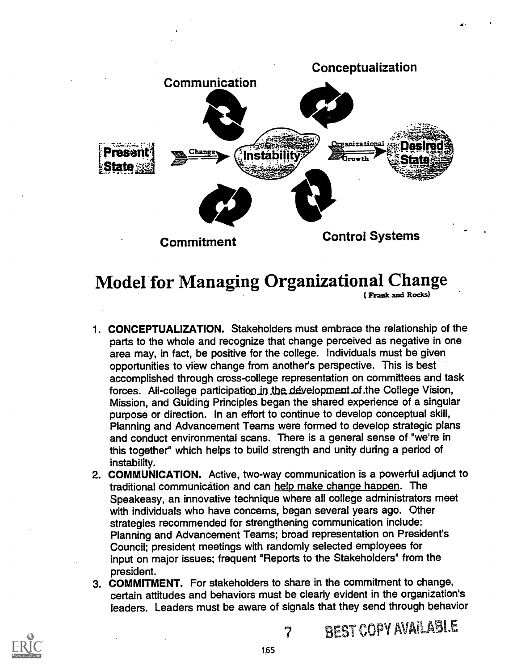

# Model for Managing Organizational Change

( Frank and Rocks)

- 1. CONCEPTUALIZATION. Stakeholders must embrace the relationship of the parts to the whole and recognize that change perceived as negative in one area may, in fact, be positive for the college. Individuals must be given opportunities to view change from another's perspective. This is best accomplished through cross-college representation on committees and task forces. All-college participation in the development of the College Vision, Mission, and Guiding Principles began the shared experience of a singular purpose or direction. In an effort to continue to develop conceptual skill, Planning and Advancement Teams were formed to develop strategic plans and conduct environmental scans. There is a general sense of "we're in this together" which helps to build strength and unity during a period of instability.
- 2. COMMUNICATION. Active, two-way communication is a powerful adjunct to traditional communication and can help make change happen. The Speakeasy, an innovative technique where all college administrators meet with individuals who have concerns, began several years ago. Other strategies recommended for strengthening communication include: Planning and Advancement Teams; broad representation on President's Council; president meetings with randomly selected employees for input on major issues; frequent "Reports to the Stakeholders" from the president.
- 3. COMMITMENT. For stakeholders to share in the commitment to change, certain attitudes and behaviors must be clearly evident in the organization's leaders. Leaders must be aware of signals that they send through behavior



7 BEST COPY AVAILABLE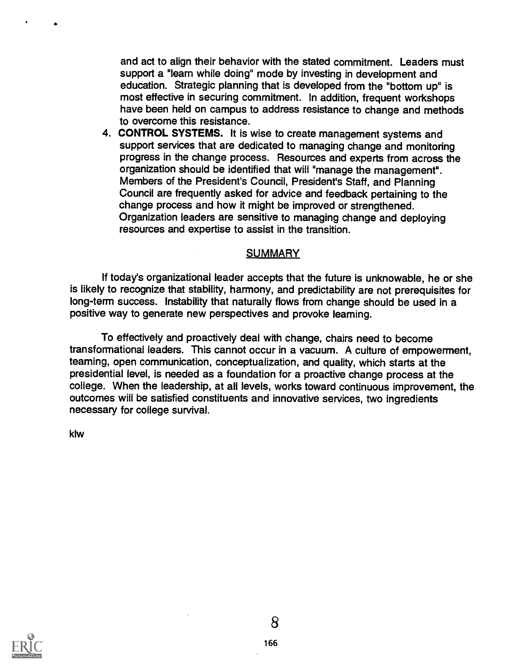and act to align their behavior with the stated commitment. Leaders must support a "learn while doing" mode by investing in development and education. Strategic planning that is developed from the "bottom up" is most effective in securing commitment. In addition, frequent workshops have been held on campus to address resistance to change and methods to overcome this resistance.

4. CONTROL SYSTEMS. It is wise to create management systems and support services that are dedicated to managing change and monitoring progress in the change process. Resources and experts from across the organization should be identified that will "manage the management". Members of the President's Council, President's Staff, and Planning Council are frequently asked for advice and feedback pertaining to the change process and how it might be improved or strengthened. Organization leaders are sensitive to managing change and deploying resources and expertise to assist in the transition.

#### **SUMMARY**

If today's organizational leader accepts that the future is unknowable, he or she is likely to recognize that stability, harmony, and predictability are not prerequisites for long-term success. Instability that naturally flows from change should be used in a positive way to generate new perspectives and provoke leaming.

To effectively and proactively deal with change, chairs need to become transformational leaders. This cannot occur in a vacuum. A culture of empowerment, teaming, open communication, conceptualization, and quality, which starts at the presidential level, is needed as a foundation for a proactive change process at the college. When the leadership, at all levels, works toward continuous improvement, the outcomes will be satisfied constituents and innovative services, two ingredients necessary for college survival.

klw

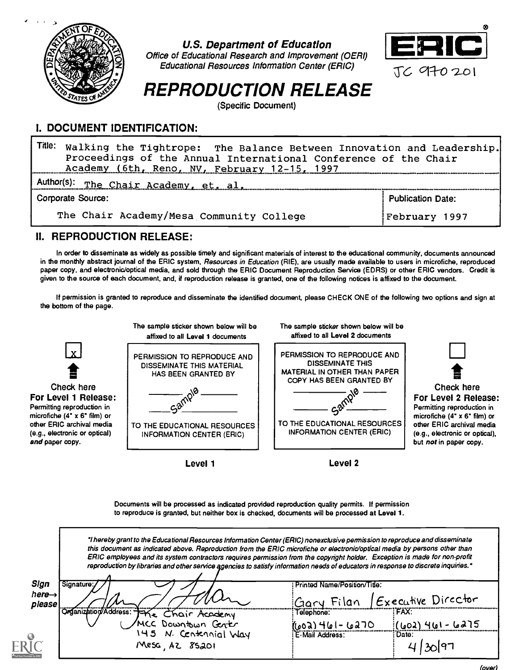

U.S. Department of Education

Office of Educational Research and Improvement (OERI) Educational Resources Information Center (ERIC)



# REPRODUCTION RELEASE

(Specific Document)

## I. DOCUMENT IDENTIFICATION:

Title: Walking the Tightrope: The Balance Between Innovation and Leadership. Proceedings of the Annual International Conference of the Chair Academy (6th, Reno, NV, February 12-15, 1997 Author(s): The Chair Academy, et, al, www. Corporate Source: Publication Date:

The Chair Academy/Mesa Community College

February 1997

## II. REPRODUCTION RELEASE:

In order to disseminate as widely as possible timely and significant materials of interest to the educational community, documents announced in the monthly abstract journal of the ERIC system, Resources in Education (RIE), are usually made available to users in microfiche, reproduced paper copy, and electronic/optical media, and sold through the ERIC Document Reproduction Service (EDRS) or other ERIC vendors. Credit is given to the source of each document, and, if reproduction release is granted, one of the following notices is affixed to the document.

If permission is granted to reproduce and disseminate the identified document, please CHECK ONE of the following two options and sign at the bottom of the page.



Level 1

Documents will be processed as indicated provided reproduction quality permits. If permission to reproduce is granted, but neither box is checked, documents will be processed at Level 1.

|                            | "I hereby grant to the Educational Resources Information Center (ERIC) nonexclusive permission to reproduce and disseminate<br>this document as indicated above. Reproduction from the ERIC microfiche or electronic/optical media by persons other than<br>ERIC employees and its system contractors requires permission from the copyright holder. Exception is made for non-profit<br>reproduction by libraries and other service agencies to satisfy information needs of educators in response to discrete inquiries." |                                         |  |  |  |  |  |  |  |  |
|----------------------------|-----------------------------------------------------------------------------------------------------------------------------------------------------------------------------------------------------------------------------------------------------------------------------------------------------------------------------------------------------------------------------------------------------------------------------------------------------------------------------------------------------------------------------|-----------------------------------------|--|--|--|--|--|--|--|--|
| Sign<br>here $\rightarrow$ | Signature:                                                                                                                                                                                                                                                                                                                                                                                                                                                                                                                  | : Printed Name/Position/Title:          |  |  |  |  |  |  |  |  |
| please                     |                                                                                                                                                                                                                                                                                                                                                                                                                                                                                                                             | Executive Director<br>Filan             |  |  |  |  |  |  |  |  |
|                            | Organization/Address:<br>Chair Academy<br>Downtown Genter                                                                                                                                                                                                                                                                                                                                                                                                                                                                   | FAX:<br>Telephone:                      |  |  |  |  |  |  |  |  |
|                            |                                                                                                                                                                                                                                                                                                                                                                                                                                                                                                                             | ٢٥٦٥ -اما (٥٥٦)<br>15هها - ۱ ما) ۲ (۵۵) |  |  |  |  |  |  |  |  |
| $\odot$                    | 145 N. Centennial Way                                                                                                                                                                                                                                                                                                                                                                                                                                                                                                       | E-Mail Address:<br>: Date:              |  |  |  |  |  |  |  |  |
|                            | Mesa AZ 85201                                                                                                                                                                                                                                                                                                                                                                                                                                                                                                               |                                         |  |  |  |  |  |  |  |  |